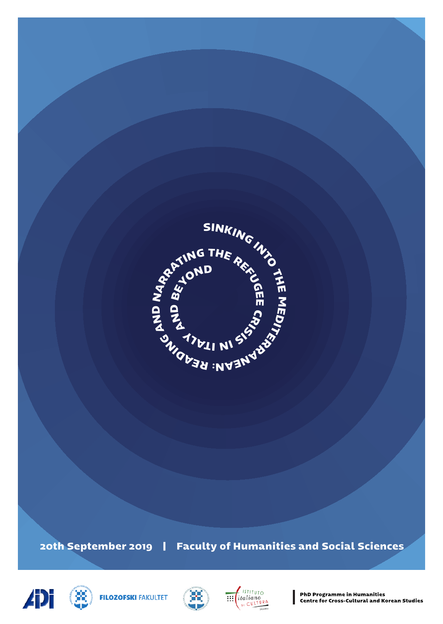

**ADi** 







**PhD Programme in Humanities** Centre for Cross-Cultural and Korean Studies